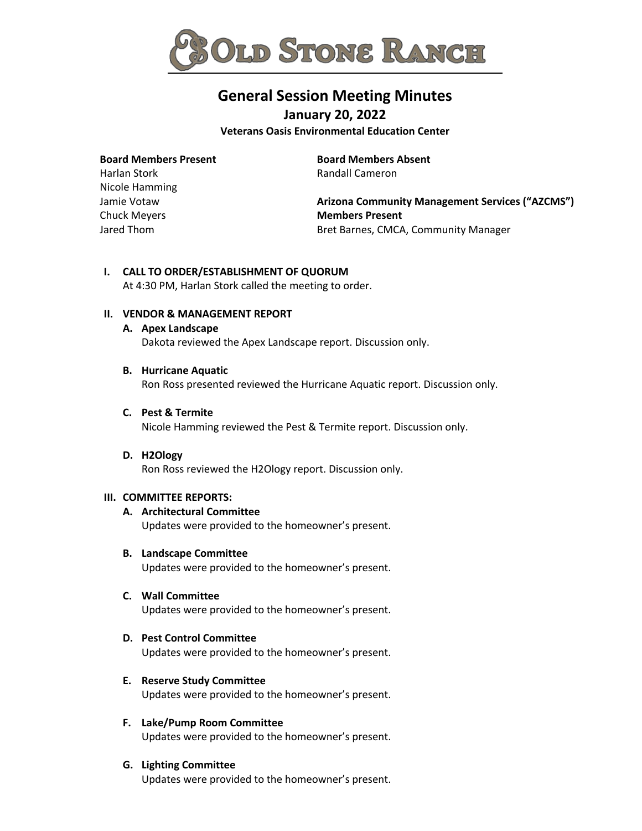

# **General Session Meeting Minutes**

**January 20, 2022**

**Veterans Oasis Environmental Education Center**

#### **Board Members Present**

Harlan Stork Nicole Hamming Jamie Votaw Chuck Meyers Jared Thom

**Board Members Absent** Randall Cameron

**Arizona Community Management Services ("AZCMS") Members Present** Bret Barnes, CMCA, Community Manager

# **I. CALL TO ORDER/ESTABLISHMENT OF QUORUM**

At 4:30 PM, Harlan Stork called the meeting to order.

# **II. VENDOR & MANAGEMENT REPORT**

**A. Apex Landscape**  Dakota reviewed the Apex Landscape report. Discussion only.

#### **B. Hurricane Aquatic**

Ron Ross presented reviewed the Hurricane Aquatic report. Discussion only.

**C. Pest & Termite** Nicole Hamming reviewed the Pest & Termite report. Discussion only.

#### **D. H2Ology**

Ron Ross reviewed the H2Ology report. Discussion only.

#### **III. COMMITTEE REPORTS:**

# **A. Architectural Committee**

Updates were provided to the homeowner's present.

**B. Landscape Committee**

Updates were provided to the homeowner's present.

#### **C. Wall Committee**

Updates were provided to the homeowner's present.

- **D. Pest Control Committee** Updates were provided to the homeowner's present.
- **E. Reserve Study Committee** Updates were provided to the homeowner's present.
- **F. Lake/Pump Room Committee** Updates were provided to the homeowner's present.

# **G. Lighting Committee**

Updates were provided to the homeowner's present.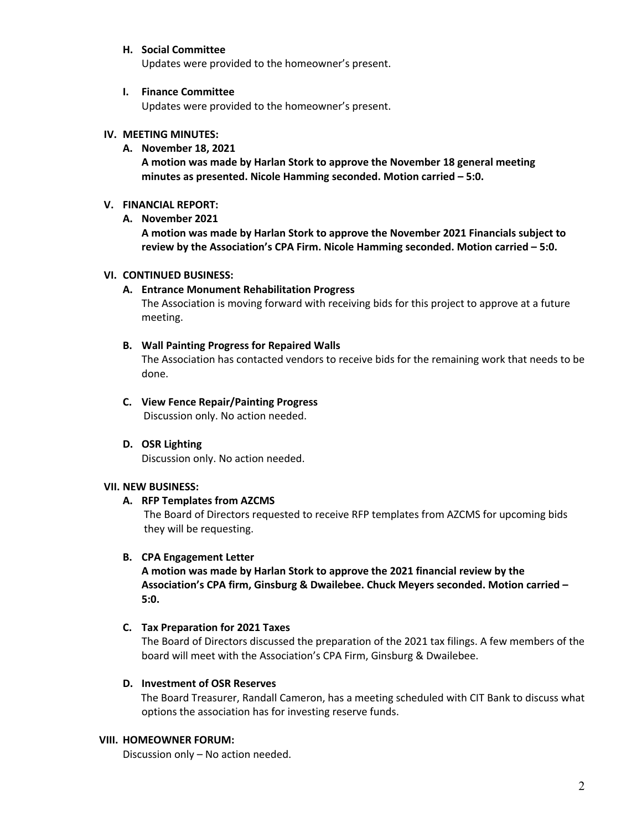# **H. Social Committee**

Updates were provided to the homeowner's present.

#### **I. Finance Committee**

Updates were provided to the homeowner's present.

### **IV. MEETING MINUTES:**

#### **A. November 18, 2021**

**A motion was made by Harlan Stork to approve the November 18 general meeting minutes as presented. Nicole Hamming seconded. Motion carried – 5:0.**

### **V. FINANCIAL REPORT:**

**A. November 2021**

**A motion was made by Harlan Stork to approve the November 2021 Financials subject to review by the Association's CPA Firm. Nicole Hamming seconded. Motion carried – 5:0.** 

#### **VI. CONTINUED BUSINESS:**

#### **A. Entrance Monument Rehabilitation Progress**

The Association is moving forward with receiving bids for this project to approve at a future meeting.

#### **B. Wall Painting Progress for Repaired Walls**

The Association has contacted vendors to receive bids for the remaining work that needs to be done.

**C. View Fence Repair/Painting Progress** Discussion only. No action needed.

# **D. OSR Lighting**

Discussion only. No action needed.

#### **VII. NEW BUSINESS:**

# **A. RFP Templates from AZCMS**

The Board of Directors requested to receive RFP templates from AZCMS for upcoming bids they will be requesting.

# **B. CPA Engagement Letter**

**A motion was made by Harlan Stork to approve the 2021 financial review by the Association's CPA firm, Ginsburg & Dwailebee. Chuck Meyers seconded. Motion carried – 5:0.**

#### **C. Tax Preparation for 2021 Taxes**

The Board of Directors discussed the preparation of the 2021 tax filings. A few members of the board will meet with the Association's CPA Firm, Ginsburg & Dwailebee.

#### **D. Investment of OSR Reserves**

 The Board Treasurer, Randall Cameron, has a meeting scheduled with CIT Bank to discuss what options the association has for investing reserve funds.

#### **VIII. HOMEOWNER FORUM:**

Discussion only – No action needed.